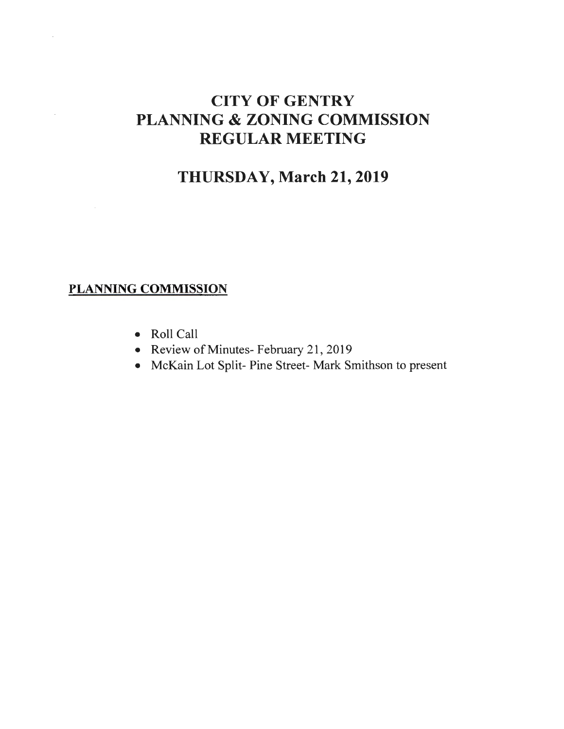## CITY OF GENTRY PLANNING & ZONING COMMISSION REGULAR MEETING

### THURSDAY, March 21,2019

#### PLANNING COMMISSION

 $\bar{z}$ 

- Roll Call
- Review of Minutes- February 21, 2019
- McKain Lot Split- Pine Street- Mark Smithson to present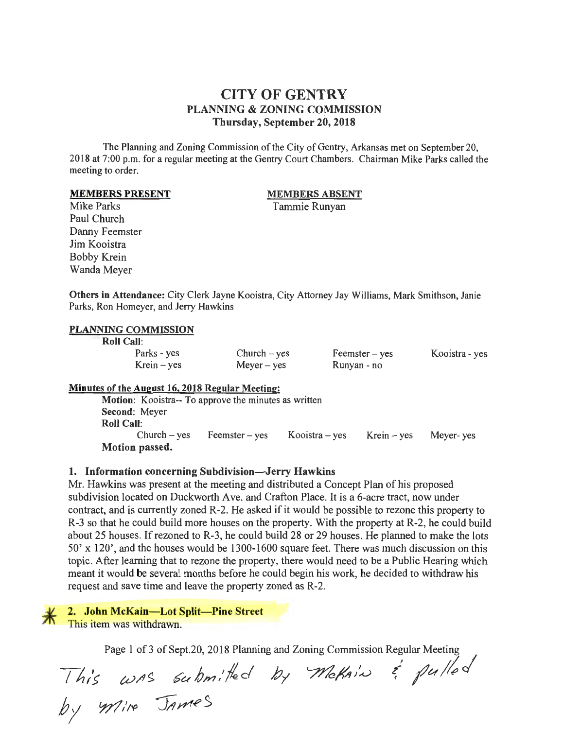#### CITY OF GENTRY PLANNING & ZONING COMMISSION Thursday, September 20,2018

The Planning and Zoning Commission of the City of Gentry, Arkansas met on September 20, 20 18 at 7:00 p.m. for a regular meeting at the Gentry Court Chambers. Chairman Mike Parks called the meeting to order.

#### MEMBERS PRESENT

#### MEMBERS ABSENT

Tammie Runyan

Mike Parks Paul Church Danny Feemster Jim Kooistra Bobby Krein Wanda Meyer

Others in Attendance: City Clerk Jayne Kooistra, City Attorney Jay Williams, Mark Smithson, Janie Parks, Ron Homeyer, and Jerry Hawkins

#### PLANNING COMMISSION

Roll Call:

| .             |                |                   |                |
|---------------|----------------|-------------------|----------------|
| Parks - yes   | $Church - yes$ | $F$ eemster – yes | Kooistra - yes |
| $Krein - yes$ | $Meyer - yes$  | Runyan - no       |                |

#### Minutes of the August 16, 2018 Regular Meeting:

Motion: Kooistra-- To approve the minutes as written Second: Meyer Roll Call: Church - yes Feemster - yes Kooistra - yes Krein - yes Meyer- yes Motion passed.

#### 1. Information concerning Subdivision-Jerry Hawkins

Mr. Hawkins was present at the meeting and distributed a Concept Plan of his proposed subdivision located on Duckworth Ave. and Crafton Place. It is a 6-acre tract, now under contract, and is currently zoned R-2. He asked if it would be possible to rezone this property to R-3 so that he could build more houses on the property. With the property at R-2, he could build about 25 houses. If rezoned to R-3 , he could build 28 or 29 houses. He planned to make the lots 50' x 120', and the houses would be 1300-1600 square feet. There was much discussion on this topic. After learning that to rezone the property, there would need to be a Public Hearing which meant it would be several months before he could begin his work, he decided to withdraw his request and save time and leave the property zoned as R-2.

2. John McKain-Lot Split-Pine Street

This item was withdrawn.

Page 1 of 3 of Sept.20, 2018 Planning and Zoning Commission Regular Meeting

This was submitted by Wickain & pulled  $by$   $m$ ire James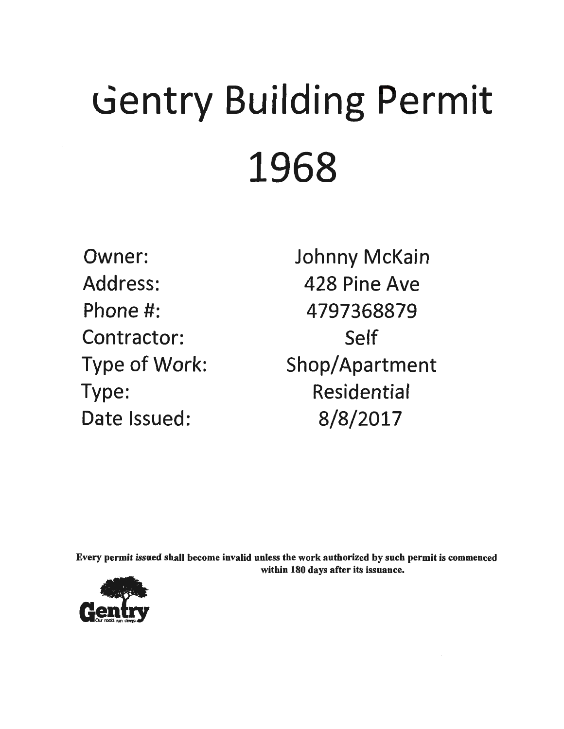# Gentry Building Permit 1968

Owner: Address: Phone #: Contractor: Type of Work: Type: Date Issued:

Johnny McKain 428 Pine Ave 4797368879 Self Shop/Apartment Residential 8/8/2017

Every permit issued shall become invalid unless the work authorized by such permit is commenced within 180 days after its issuance.

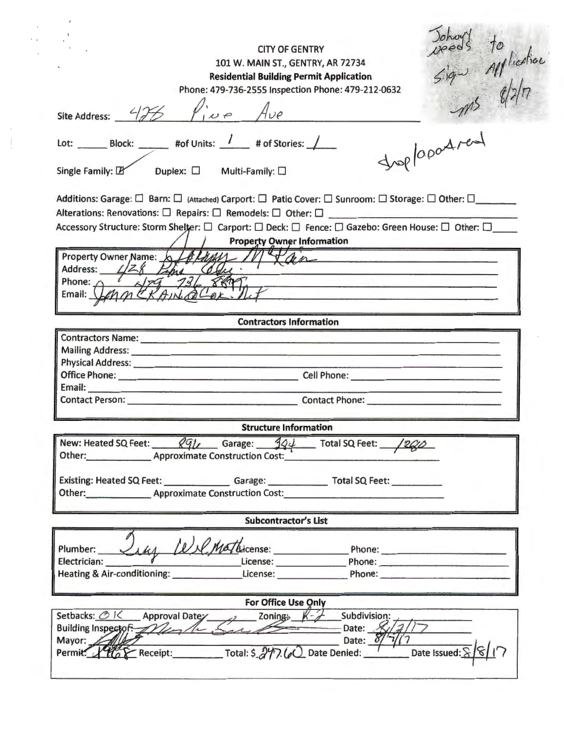Johny's to<br>speed's to<br>sign alliesties CITY OF GENTRY 101 W. MAIN ST., GENTRY, AR 72734 **Residential Building Permit Application**  Phone: 479-736-2555 Inspection Phone: 479-212-0632 Site Address:  $\frac{275}{100}$   $\frac{1}{100}$   $\frac{1}{100}$   $\frac{1}{100}$   $\frac{1}{100}$   $\frac{1}{100}$   $\frac{1}{100}$   $\frac{1}{100}$   $\frac{1}{100}$   $\frac{1}{100}$   $\frac{1}{100}$   $\frac{1}{100}$   $\frac{1}{100}$   $\frac{1}{100}$   $\frac{1}{100}$   $\frac{1}{100}$   $\frac{1}{100}$  Lot:  $\begin{array}{ccc} \text{Block:} & & \text{#of Units:} \end{array}$  /  $\begin{array}{ccc} \text{# of Stories:} \end{array}$  $Single Family:  $\mathbb{Z}$  Duplex:  $\square$  Multi-Family:  $\square$$ Additions: Garage:  $\Box$  Barn:  $\Box$  (Attached) Carport:  $\Box$  Patio Cover:  $\Box$  Sunroom:  $\Box$  Storage:  $\Box$  Other:  $\Box$ \_\_\_\_\_\_\_ Additions: Garage:  $\square$  Barn:  $\square$  (Attached) Carport:  $\square$  Patio Cover:  $\square$  Sunroom:  $\square$  Storage:  $\square$  Other:  $\square$ <br>Alterations: Renovations:  $\square$  Repairs:  $\square$  Remodels:  $\square$  Other:  $\square$ Alterations: Renovations:  $\square$  Repairs:  $\square$  Remodels:  $\square$  Other:  $\square$ <br>Accessory Structure: Storm Shelter:  $\square$  Carport:  $\square$  Deck:  $\square$  Fence:  $\square$  Gazebo: Green House:  $\square$  Other:  $\square$ Property Owner Name:  $\frac{161441}{641}$  M Lan Address: */Z*<sub>8</sub> Phone:  $\frac{1}{4}$   $\frac{1}{4}$   $\frac{1}{4}$   $\frac{1}{4}$   $\frac{1}{4}$   $\frac{1}{4}$   $\frac{1}{4}$   $\frac{1}{4}$   $\frac{1}{4}$   $\frac{1}{4}$   $\frac{1}{4}$   $\frac{1}{4}$   $\frac{1}{4}$   $\frac{1}{4}$   $\frac{1}{4}$   $\frac{1}{4}$   $\frac{1}{4}$   $\frac{1}{4}$   $\frac{1}{4}$   $\frac{1}{4}$   $\frac{1}{4}$   $\frac{$  $\mathbb{E}$ mail:  $\mathbb{E}[\mathcal{E}]/[1] \subseteq \mathbb{E}[\mathcal{E}]/[1]$  . Let  $\mathbb{E}[\mathcal{E}]/[1]$  . Let  $\mathbb{E}[\mathcal{E}]/[1]$  . Let  $\mathbb{E}[\mathcal{E}]/[1]$  . Let  $\mathbb{E}[\mathcal{E}]/[1]$  . Let  $\mathbb{E}[\mathcal{E}]/[1]$  . Let  $\mathbb{E}[\mathcal{E}]/[1]$  . Let  $\mathbb{E}[\mathcal{E}]/$ **Contractors Information**  Contractors Name:------------------------------ Mailing Address:------------------------------- Mailing Address:<br>Physical Address:<br>Office Phone: Office Phone:--------------- Cell Phone:------------- Email:----------------------------------- Contact Person:-------------- Contact Phone:----------- **Structure Information**  New: Heated SQ Feet:  $\frac{Qq}{L}$  Garage:  $\frac{q}{Q}\frac{1}{L}$  Total SQ Feet:  $\frac{12QD}{L}$ <br>Other: \_\_\_\_\_\_\_\_\_\_\_\_\_\_\_\_\_\_\_\_\_ Approximate Construction Cost: Existing: Heated SQ Feet: \_\_\_\_\_\_\_\_\_\_\_\_\_\_\_\_\_\_Garage: \_\_\_\_\_\_\_\_\_\_\_\_\_\_\_\_\_\_\_Total SQ Feet: \_\_\_\_\_\_\_\_\_\_\_\_\_\_ Other: Approximate Construction Cost: \_\_\_\_\_\_\_\_\_\_\_\_ \_ **Subcontractor's List**  Plumber: ----=s;,.,..<1..4q..q,.-..--J..C=..c:...-l,.~..IL.....k--··cense: \_\_\_\_\_\_ Phone:---------- Electrician: License: Phone:----------- Electrician: <u>National Communication of Communications</u> (Chemical Chemical Chemical Chemical Chemical Chemical Chemical Chemical Chemical Chemical Chemical Chemical Chemical Chemical Chemical Chemical Chemical Chemical Che **For Office Use Only** Setbacks: OK Approval Datey Zoning  $K - 2$  Subdivision: with  $-$ Date:  $-\frac{2}{\sqrt{2}}$ Building Inspector Mente. Date:  $\delta/$ Mayor: Permit: Y Ho & Receipt: Total: \$ 277.60 Date Denied: Date Issued:  $8/8/17$ 

. '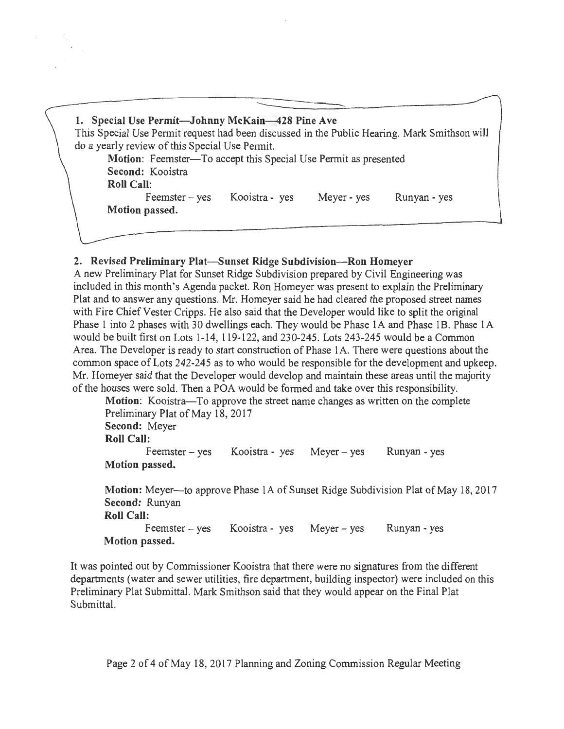| 1. Special Use Permit-Johnny McKain-428 Pine Ave                                             |
|----------------------------------------------------------------------------------------------|
| This Special Use Permit request had been discussed in the Public Hearing. Mark Smithson will |
| do a yearly review of this Special Use Permit.                                               |
| Motion: Feemster—To accept this Special Use Permit as presented                              |
| Second: Kooistra                                                                             |
| <b>Roll Call:</b>                                                                            |
| Kooistra - yes<br>Meyer - yes<br>$F$ eemster – yes<br>Runyan - yes                           |
| Motion passed.                                                                               |
|                                                                                              |

#### 2. Revised Preliminary Plat-Sunset Ridge Subdivision-Ron Homeyer

A new Preliminary Plat for Sunset Ridge Subdivision prepared by Civil Engineering was included in this month's Agenda packet. Ron Homeyer was present to explain the Preliminary Plat and to answer any questions. Mr. Homeyer said he had cleared the proposed street names with Fire Chief Vester Cripps. He also said that the Developer would like to split the original Phase 1 into 2 phases with 30 dwellings each. They would be Phase lA and Phase lB. Phase lA would be built first on Lots 1-14, 119-122, and 230-245. Lots 243-245 would be a Common Area. The Developer is ready to start construction of Phase 1A. There were questions about the common space of Lots 242-245 as to who would be responsible for the development and upkeep. Mr. Homeyer said that the Developer would develop and maintain these areas until the majority of the houses were sold. Then a POA would be formed and take over this responsibility.

Motion: Kooistra—To approve the street name changes as written on the complete Preliminary Plat of May 18, 2017 Second: Meyer Roll Call:  $F$ eemster – yes Motion passed. Kooistra- yes Meyer- yes Runyan- yes

Motion: Meyer-to approve Phase 1A of Sunset Ridge Subdivision Plat of May 18, 2017 Second: Runyan Roll Call: Feemster – yes Motion passed. Kooistra - yes Meyer - yes Runyan- yes

It was pointed out by Commissioner Kooistra that there were no signatures from the different departments (water and sewer utilities, fire department, building inspector) were included on this Preliminary Plat Submittal. Mark Smithson said that they would appear on the Final Plat Submittal.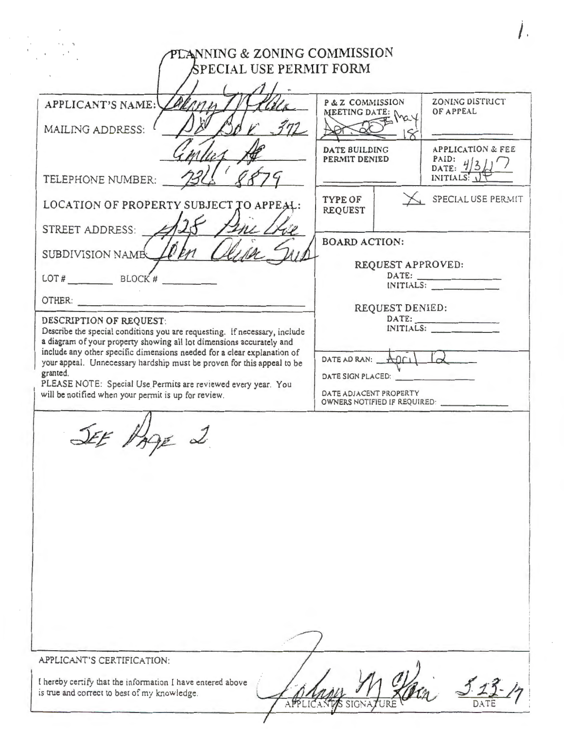| APPLICANT'S NAME:                                                                                                                                                                                                                     | P & Z COMMISSION<br>MEETING DATE: [                                                                |                   | ZONING DISTRICT<br>OF APPEAL                                        |
|---------------------------------------------------------------------------------------------------------------------------------------------------------------------------------------------------------------------------------------|----------------------------------------------------------------------------------------------------|-------------------|---------------------------------------------------------------------|
| MAILING ADDRESS:                                                                                                                                                                                                                      |                                                                                                    |                   |                                                                     |
| TELEPHONE NUMBER:                                                                                                                                                                                                                     | <b>DATE BUILDING</b><br>PERMIT DENIED                                                              |                   | <b>APPLICATION &amp; FEE</b><br>PAID: $\frac{1}{3}$<br>INITIALS: UT |
| LOCATION OF PROPERTY SUBJECT TO APPEAL:                                                                                                                                                                                               | <b>TYPE OF</b><br><b>REQUEST</b>                                                                   |                   | SPECIAL USE PERMIT                                                  |
| STREET ADDRESS:                                                                                                                                                                                                                       |                                                                                                    |                   |                                                                     |
| SUBDIVISION NAME                                                                                                                                                                                                                      | <b>BOARD ACTION:</b>                                                                               |                   |                                                                     |
| LOT# $\qquad \qquad$ BLOCK #                                                                                                                                                                                                          |                                                                                                    | REQUEST APPROVED: | DATE:<br>INITIALS:                                                  |
| OTHER:                                                                                                                                                                                                                                |                                                                                                    |                   |                                                                     |
| DESCRIPTION OF REQUEST:<br>Describe the special conditions you are requesting. If necessary, include                                                                                                                                  | REQUEST DENIED:<br>DATE:<br>INITIALS:                                                              |                   |                                                                     |
| a diagram of your property showing all lot dimensions accurately and<br>include any other specific dimensions needed for a clear explanation of<br>your appeal. Unnecessary hardship must be proven for this appeal to be<br>granted. | DATE AD RAN: $A0C1$<br>DATE SIGN PLACED:<br>DATE ADJACENT PROPERTY<br>OWNERS NOTIFIED IF REQUIRED: |                   |                                                                     |
| PLEASE NOTE: Special Use Permits are reviewed every year. You<br>will be notified when your permit is up for review.                                                                                                                  |                                                                                                    |                   |                                                                     |
|                                                                                                                                                                                                                                       |                                                                                                    |                   |                                                                     |

 $\mathcal T$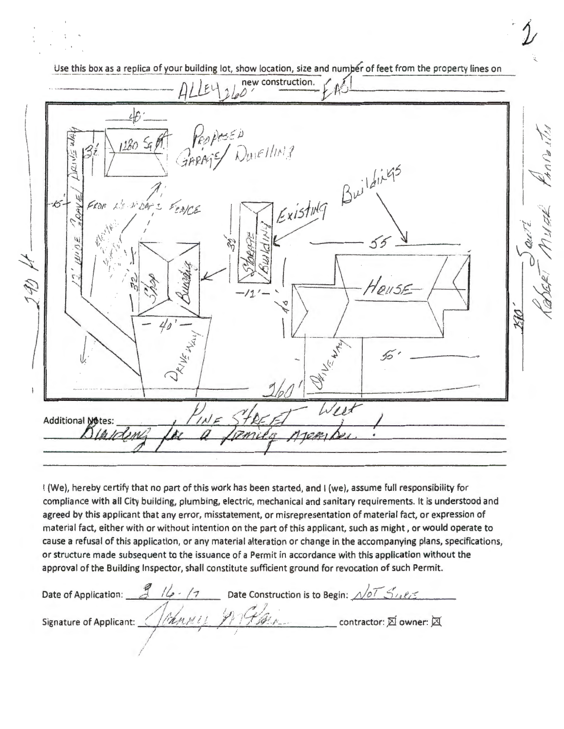Use this box as a replica of your building lot, show location, size and number of feet from the property lines on new construction.  $46.$  $128056$ Duielling Existing Buildings LINOAS FENCE  $\leq$  00  $55$ 41 14 HOUSE Ó West Additional Motes:

I (We), hereby certify that no part of this work has been started, and I (we), assume full responsibility for compliance with all City building, plumbing, electric, mechanical and sanitary requirements. It is understood and agreed by this applicant that any error, misstatement, or misrepresentation of material fact, or expression of material fact, either with or without intention on the part of this applicant, such as might, or would operate to cause a refusal of this application, or any material alteration or change in the accompanying plans, specifications, or structure made subsequent to the issuance of a Permit in accordance with this application without the approval of the Building Inspector, shall constitute sufficient ground for revocation of such Permit.

Date of Application:  $\frac{3}{2}$  // $\frac{1}{2}$  /7 Date Construction is to Begin:  $\sqrt{27}$  S/18/5 Signature of Applicant: (Ithing it Fiftherman contractor: El owner: El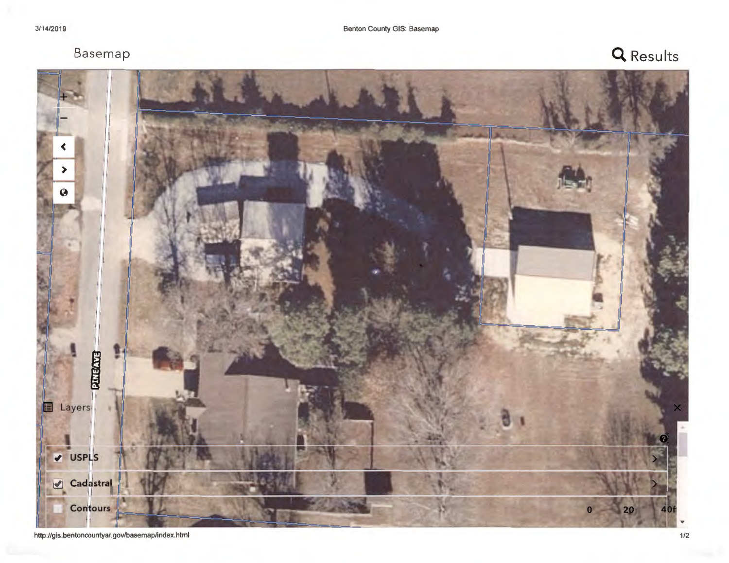# Basemap **Q Results**

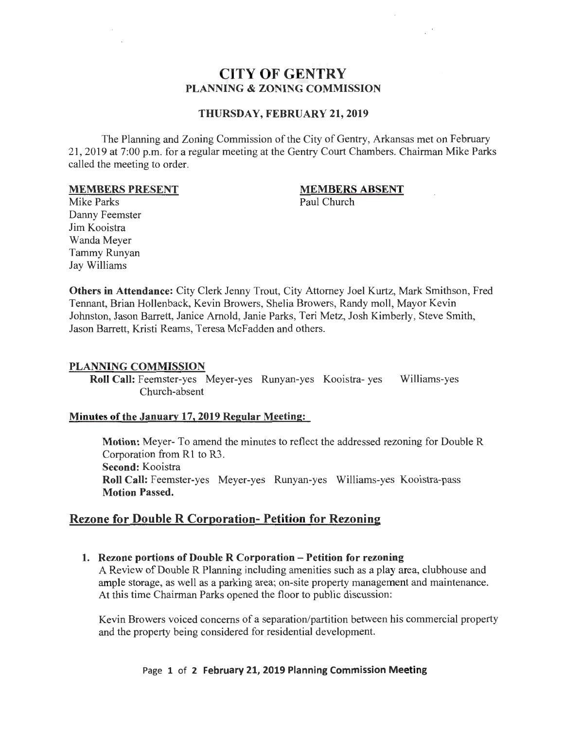#### **CITY OF GENTRY PLANNING & ZONING COMMISSION**

#### **THURSDAY, FEBRUARY 21, 2019**

The Planning and Zoning Commission of the City of Gentry, Arkansas met on February 21, 2019 at 7:00 p.m. for a regular meeting at the Gentry Court Chambers. Chairman Mike Parks called the meeting to order.

#### **MEMBERS PRESENT**

#### **MEMBERS ABSENT**

Paul Church

Mike Parks Danny Feemster Jim Kooistra Wanda Meyer Tammy Runyan Jay Williams

**Others in Attendance:** City Clerk Jenny Trout, City Attorney Joel Kurtz, Mark Smithson, Fred Tennant, Brian Hollenback, Kevin Browers, Shelia Browers, Randy moll, Mayor Kevin Johnston, Jason Barrett, Janice Arnold, Janie Parks, Teri Metz, Josh Kimberly, Steve Smith, Jason Barrett, Kristi Reams, Teresa McFadden and others.

#### **PLANNING COMMISSION**

**Roll Call:** Feemster-yes Meyer-yes Runyan-yes Kooistra- yes Williams-yes Church-absent

#### **Minutes of the January 17, 2019 Regular Meeting:**

**Motion:** Meyer- To amend the minutes to reflect the addressed rezoning for DoubleR Corporation from R1 to R3. **Second:** Kooistra **Roll Call:** Feemster-yes Meyer-yes Runyan-yes Williams-yes Kooistra-pass **Motion Passed.** 

#### **Rezone for DoubleR Corporation- Petition for Rezoning**

**1. Rezone portions of Double R Corporation - Petition for rezoning**  A Review of DoubleR Planning including amenities such as a play area, clubhouse and

ample storage, as well as a parking area; on-site property management and maintenance. At this time Chairman Parks opened the floor to public discussion:

Kevin Browers voiced concerns of a separation/partition between his commercial property and the property being considered for residential development.